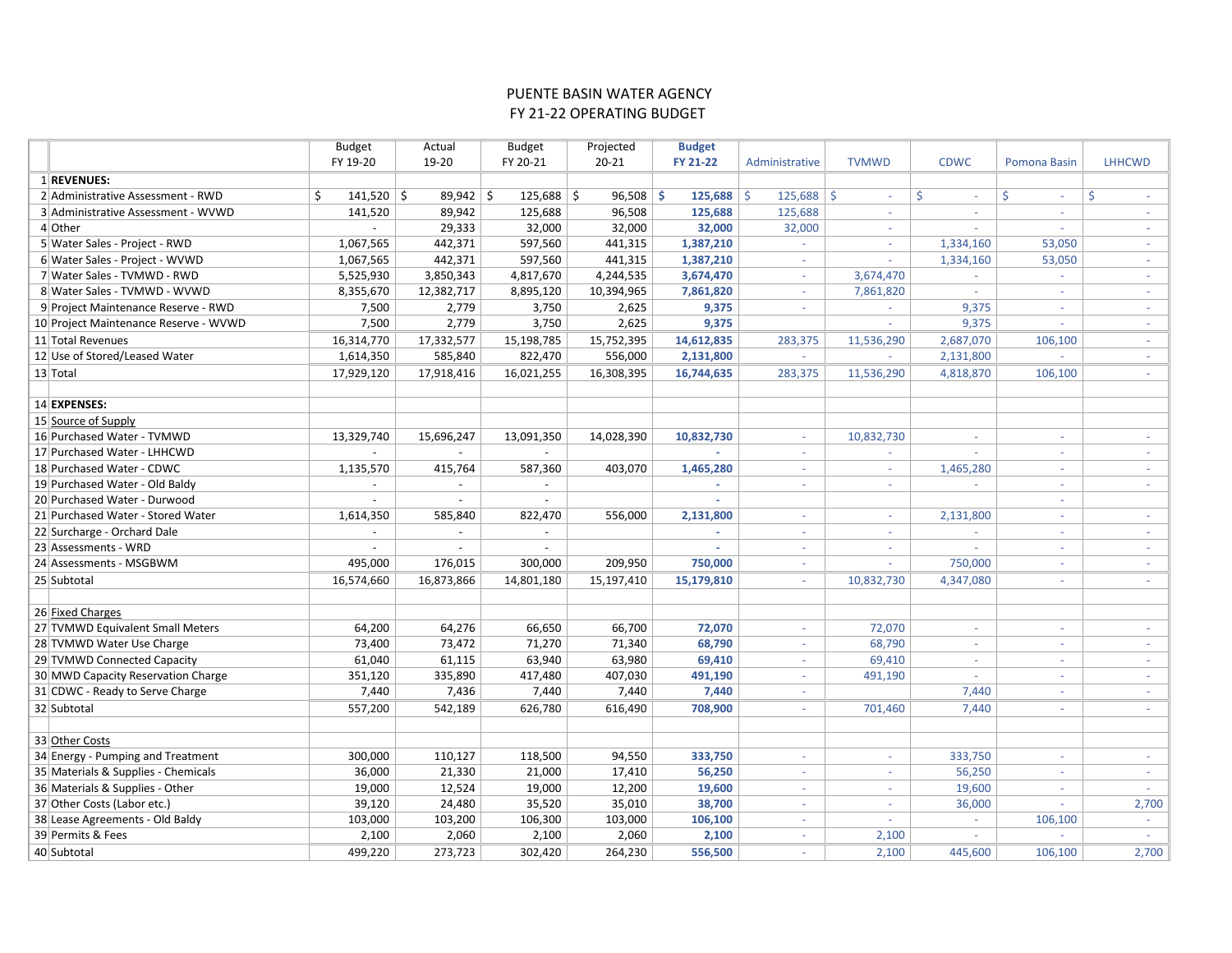#### PUENTE BASIN WATER AGENCY FY 21‐22 OPERATING BUDGET

|                                       | <b>Budget</b>      | Actual         | <b>Budget</b>            | Projected   | <b>Budget</b> |                      |              |              |              |               |
|---------------------------------------|--------------------|----------------|--------------------------|-------------|---------------|----------------------|--------------|--------------|--------------|---------------|
|                                       | FY 19-20           | 19-20          | FY 20-21                 | $20 - 21$   | FY 21-22      | Administrative       | <b>TVMWD</b> | <b>CDWC</b>  | Pomona Basin | <b>LHHCWD</b> |
| 1 REVENUES:                           |                    |                |                          |             |               |                      |              |              |              |               |
| 2 Administrative Assessment - RWD     | Ŝ.<br>$141,520$ \$ | $89,942$ \$    | $125,688$ \$             | $96,508$ \$ | 125,688       | Ŝ.<br>$125,688$   \$ | $\sim$       | Ś.<br>$\sim$ | Ś.           | Ŝ.            |
| 3 Administrative Assessment - WVWD    | 141,520            | 89,942         | 125,688                  | 96,508      | 125,688       | 125,688              | ä,           | $\sim$       | ÷.           | $\sim$        |
| 4 Other                               |                    | 29,333         | 32,000                   | 32,000      | 32,000        | 32,000               | $\sim$       |              |              | $\sim$        |
| 5 Water Sales - Project - RWD         | 1,067,565          | 442,371        | 597,560                  | 441,315     | 1,387,210     |                      |              | 1,334,160    | 53,050       | $\sim$        |
| 6 Water Sales - Project - WVWD        | 1,067,565          | 442,371        | 597,560                  | 441,315     | 1,387,210     | $\sim$               | u,           | 1,334,160    | 53,050       | $\sim$        |
| 7 Water Sales - TVMWD - RWD           | 5,525,930          | 3,850,343      | 4,817,670                | 4,244,535   | 3,674,470     | ÷.                   | 3,674,470    | $\sim$       | ÷            | $\omega$      |
| 8 Water Sales - TVMWD - WVWD          | 8,355,670          | 12,382,717     | 8,895,120                | 10,394,965  | 7,861,820     | ÷.                   | 7,861,820    |              |              | $\sim$        |
| 9 Project Maintenance Reserve - RWD   | 7,500              | 2,779          | 3,750                    | 2,625       | 9,375         | $\sim$               | ä,           | 9,375        | ÷.           | $\sim$        |
| 10 Project Maintenance Reserve - WVWD | 7,500              | 2,779          | 3,750                    | 2,625       | 9,375         |                      | $\sim$       | 9,375        | ä,           | $\sim$        |
| 11 Total Revenues                     | 16,314,770         | 17,332,577     | 15,198,785               | 15,752,395  | 14,612,835    | 283,375              | 11,536,290   | 2,687,070    | 106,100      | $\sim$        |
| 12 Use of Stored/Leased Water         | 1,614,350          | 585,840        | 822,470                  | 556,000     | 2,131,800     | $\sim$               | ä,           | 2,131,800    |              | $\sim$        |
| $13$ Total                            | 17,929,120         | 17,918,416     | 16,021,255               | 16,308,395  | 16,744,635    | 283,375              | 11,536,290   | 4,818,870    | 106,100      | $\sim$        |
|                                       |                    |                |                          |             |               |                      |              |              |              |               |
| 14 EXPENSES:                          |                    |                |                          |             |               |                      |              |              |              |               |
| 15 Source of Supply                   |                    |                |                          |             |               |                      |              |              |              |               |
| 16 Purchased Water - TVMWD            | 13,329,740         | 15,696,247     | 13,091,350               | 14,028,390  | 10,832,730    | $\sim$               | 10,832,730   | $\sim$       |              |               |
| 17 Purchased Water - LHHCWD           |                    |                |                          |             |               | $\sim$               | u,           | $\sim$       | $\omega$     | $\sim$        |
| 18 Purchased Water - CDWC             | 1,135,570          | 415,764        | 587,360                  | 403,070     | 1,465,280     | $\sim$               | $\sim$       | 1,465,280    | ä,           | $\sim$        |
| 19 Purchased Water - Old Baldy        |                    |                | $\overline{\phantom{a}}$ |             |               | $\sim$               | $\sim$       | ÷            | ÷.           | $\sim$        |
| 20 Purchased Water - Durwood          | $\blacksquare$     | $\blacksquare$ | $\overline{\phantom{a}}$ |             | à.            |                      |              |              | ä,           |               |
| 21 Purchased Water - Stored Water     | 1,614,350          | 585,840        | 822,470                  | 556,000     | 2,131,800     | $\sim$               | $\sim$       | 2,131,800    | ٠            | $\sim$        |
| 22 Surcharge - Orchard Dale           |                    | $\blacksquare$ | $\overline{a}$           |             | ÷             | $\sim$               | ÷,           | ÷            | ÷.           | $\sim$        |
| 23 Assessments - WRD                  |                    |                |                          |             |               | $\sim$               | u,           |              | ٠            | $\sim$        |
| 24 Assessments - MSGBWM               | 495,000            | 176,015        | 300,000                  | 209,950     | 750,000       | $\sim$               | u,           | 750,000      |              | $\sim$        |
| 25 Subtotal                           | 16,574,660         | 16,873,866     | 14,801,180               | 15,197,410  | 15,179,810    | $\sim$               | 10,832,730   | 4,347,080    | ÷.           | $\sim$        |
|                                       |                    |                |                          |             |               |                      |              |              |              |               |
| 26 Fixed Charges                      |                    |                |                          |             |               |                      |              |              |              |               |
| 27 TVMWD Equivalent Small Meters      | 64,200             | 64,276         | 66,650                   | 66,700      | 72,070        | $\sim$               | 72,070       | $\sim$       | ÷            | $\sim$        |
| 28 TVMWD Water Use Charge             | 73,400             | 73,472         | 71,270                   | 71,340      | 68,790        | $\sim$               | 68,790       | $\sim$       | ÷.           | $\sim$        |
| 29 TVMWD Connected Capacity           | 61,040             | 61,115         | 63,940                   | 63,980      | 69,410        | ÷.                   | 69,410       |              |              | $\sim$        |
| 30 MWD Capacity Reservation Charge    | 351,120            | 335,890        | 417,480                  | 407,030     | 491,190       | $\sim$               | 491,190      | $\sim$       | $\sim$       | $\sim$        |
| 31 CDWC - Ready to Serve Charge       | 7,440              | 7,436          | 7,440                    | 7,440       | 7,440         | $\sim$               |              | 7,440        | ÷            | $\sim$        |
| 32 Subtotal                           | 557,200            | 542,189        | 626,780                  | 616,490     | 708,900       | $\sim$               | 701,460      | 7,440        | ÷            |               |
|                                       |                    |                |                          |             |               |                      |              |              |              |               |
| 33 Other Costs                        |                    |                |                          |             |               |                      |              |              |              |               |
| 34 Energy - Pumping and Treatment     | 300,000            | 110,127        | 118,500                  | 94,550      | 333,750       | $\sim$               | $\sim$       | 333,750      |              | $\sim$        |
| 35 Materials & Supplies - Chemicals   | 36,000             | 21,330         | 21,000                   | 17,410      | 56,250        | $\sim$               | $\sim$       | 56,250       | $\sim$       | $\sim$        |
| 36 Materials & Supplies - Other       | 19,000             | 12,524         | 19,000                   | 12,200      | 19,600        | $\sim$               | $\sim$       | 19,600       | ä,           | $\sim$        |
| 37 Other Costs (Labor etc.)           | 39,120             | 24,480         | 35,520                   | 35,010      | 38,700        | $\sim$               | $\sim$       | 36,000       |              | 2,700         |
| 38 Lease Agreements - Old Baldy       | 103,000            | 103,200        | 106,300                  | 103,000     | 106,100       | $\sim$               | ä,           | $\sim$       | 106,100      | $\sim$        |
| 39 Permits & Fees                     | 2,100              | 2,060          | 2,100                    | 2,060       | 2,100         | $\sim$               | 2,100        | $\equiv$     |              |               |
| 40 Subtotal                           | 499,220            | 273,723        | 302,420                  | 264,230     | 556,500       |                      | 2,100        | 445,600      | 106,100      | 2,700         |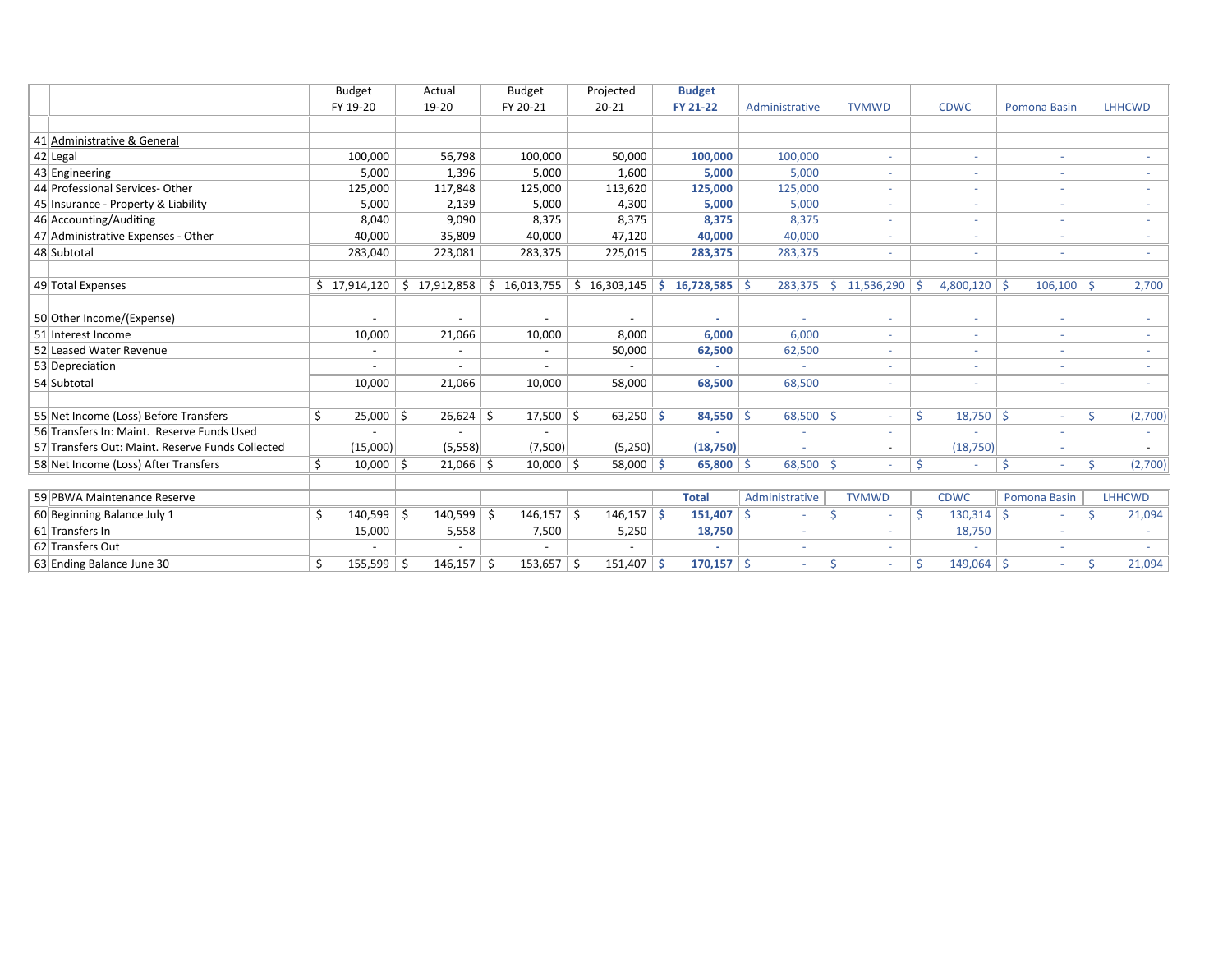|                                                  | <b>Budget</b>            | Actual                   | <b>Budget</b>        | Projected                | <b>Budget</b>         |                |                          |                   |               |               |
|--------------------------------------------------|--------------------------|--------------------------|----------------------|--------------------------|-----------------------|----------------|--------------------------|-------------------|---------------|---------------|
|                                                  | FY 19-20                 | 19-20                    | FY 20-21             | $20 - 21$                | FY 21-22              | Administrative | <b>TVMWD</b>             | <b>CDWC</b>       | Pomona Basin  | <b>LHHCWD</b> |
|                                                  |                          |                          |                      |                          |                       |                |                          |                   |               |               |
| 41 Administrative & General                      |                          |                          |                      |                          |                       |                |                          |                   |               |               |
| $42$ Legal                                       | 100,000                  | 56,798                   | 100,000              | 50,000                   | 100,000               | 100,000        | $\overline{\phantom{a}}$ | $\sim$            | ٠             |               |
| 43 Engineering                                   | 5,000                    | 1,396                    | 5,000                | 1,600                    | 5,000                 | 5,000          | $\overline{\phantom{a}}$ | $\sim$            |               |               |
| 44 Professional Services-Other                   | 125,000                  | 117,848                  | 125,000              | 113,620                  | 125,000               | 125,000        | $\overline{\phantom{a}}$ | $\sim$            | ٠             |               |
| 45 Insurance - Property & Liability              | 5,000                    | 2,139                    | 5,000                | 4,300                    | 5,000                 | 5,000          | $\sim$                   | $\sim$            | ٠             | $\sim$        |
| 46 Accounting/Auditing                           | 8,040                    | 9,090                    | 8,375                | 8,375                    | 8,375                 | 8,375          | $\sim$                   | $\sim$            | ٠             |               |
| 47 Administrative Expenses - Other               | 40,000                   | 35,809                   | 40,000               | 47,120                   | 40,000                | 40,000         | $\sim$                   | $\sim$            | ٠             | $\sim$        |
| 48 Subtotal                                      | 283,040                  | 223,081                  | 283,375              | 225,015                  | 283,375               | 283,375        | $\overline{\phantom{a}}$ | $\sim$            | $\sim$        | $\sim$        |
|                                                  |                          |                          |                      |                          |                       |                |                          |                   |               |               |
| 49 Total Expenses                                | \$17,914,120             | 17,912,858<br>S.         | \$16,013,755         | 16,303,145<br>Ŝ.         | S.<br>$16,728,585$ \$ | 283,375        | 11,536,290<br>Ŝ.         | $4,800,120$ \$    | 106,100       | 2,700<br>-Ś   |
|                                                  |                          |                          |                      |                          |                       |                |                          |                   |               |               |
| 50 Other Income/(Expense)                        | $\overline{\phantom{a}}$ | $\overline{\phantom{a}}$ | $\blacksquare$       | $\overline{\phantom{a}}$ | $\sim$                |                | $\overline{\phantom{a}}$ | $\sim$            | $\sim$        |               |
| 51 Interest Income                               | 10,000                   | 21,066                   | 10,000               | 8,000                    | 6,000                 | 6,000          | $\overline{\phantom{a}}$ | $\sim$            | ۰             |               |
| 52 Leased Water Revenue                          |                          |                          |                      | 50,000                   | 62,500                | 62,500         | $\sim$                   | $\sim$            |               |               |
| 53 Depreciation                                  |                          |                          |                      |                          |                       |                | $\sim$                   | $\sim$            | ٠             |               |
| 54 Subtotal                                      | 10,000                   | 21,066                   | 10,000               | 58,000                   | 68,500                | 68,500         | $\overline{\phantom{a}}$ | $\sim$            | ٠             |               |
|                                                  |                          |                          |                      |                          |                       |                |                          |                   |               |               |
| 55 Net Income (Loss) Before Transfers            | Ś.<br>$25,000$   \$      | 26,624                   | -\$<br>$17,500$   \$ | $63,250$ \$              | $84,550$   \$         | 68,500         | ۱Ś.<br>$\sim$            | $18,750$ \$<br>Ś  | ٠             | (2,700)<br>Ś  |
| 56 Transfers In: Maint. Reserve Funds Used       |                          |                          |                      |                          |                       |                | $\sim$                   |                   | ٠             |               |
| 57 Transfers Out: Maint. Reserve Funds Collected | (15,000)                 | (5, 558)                 | (7,500)              | (5,250)                  | (18,750)              |                | $\overline{\phantom{a}}$ | (18,750)          |               |               |
| 58 Net Income (Loss) After Transfers             | \$<br>$10,000$   \$      | $21,066$   \$            | $10,000$   \$        | $58,000$   \$            | 65,800 $\frac{1}{2}$  | $68,500$ \$    | $\sim$                   | Ś<br>$\sim$       | Ŝ.            | (2,700)       |
|                                                  |                          |                          |                      |                          |                       |                |                          |                   |               |               |
| 59 PBWA Maintenance Reserve                      |                          |                          |                      |                          | <b>Total</b>          | Administrative | <b>TVMWD</b>             | <b>CDWC</b>       | Pomona Basin  | <b>LHHCWD</b> |
| 60 Beginning Balance July 1                      | Ś<br>140,599             | Ŝ.<br>140,599            | -Ś<br>146,157        | $146,157$ \$<br>Ŝ.       | 151,407               | Ś              | Ŝ<br>۰                   | Ś<br>130,314      | <b>S</b><br>٠ | 21,094        |
| 61 Transfers In                                  | 15,000                   | 5,558                    | 7,500                | 5,250                    | 18,750                | $\sim$         | $\sim$                   | 18,750            | ٠             |               |
| 62 Transfers Out                                 |                          |                          |                      |                          |                       |                | $\sim$                   |                   |               |               |
| 63 Ending Balance June 30                        | Ś.<br>$155,599$ \$       | 146, 157                 | 153,657<br>-\$       | $151,407$ \$             | $170,157$ \$          |                | <b>S</b><br>$\sim$       | Ś<br>$149,064$ \$ |               | 21,094        |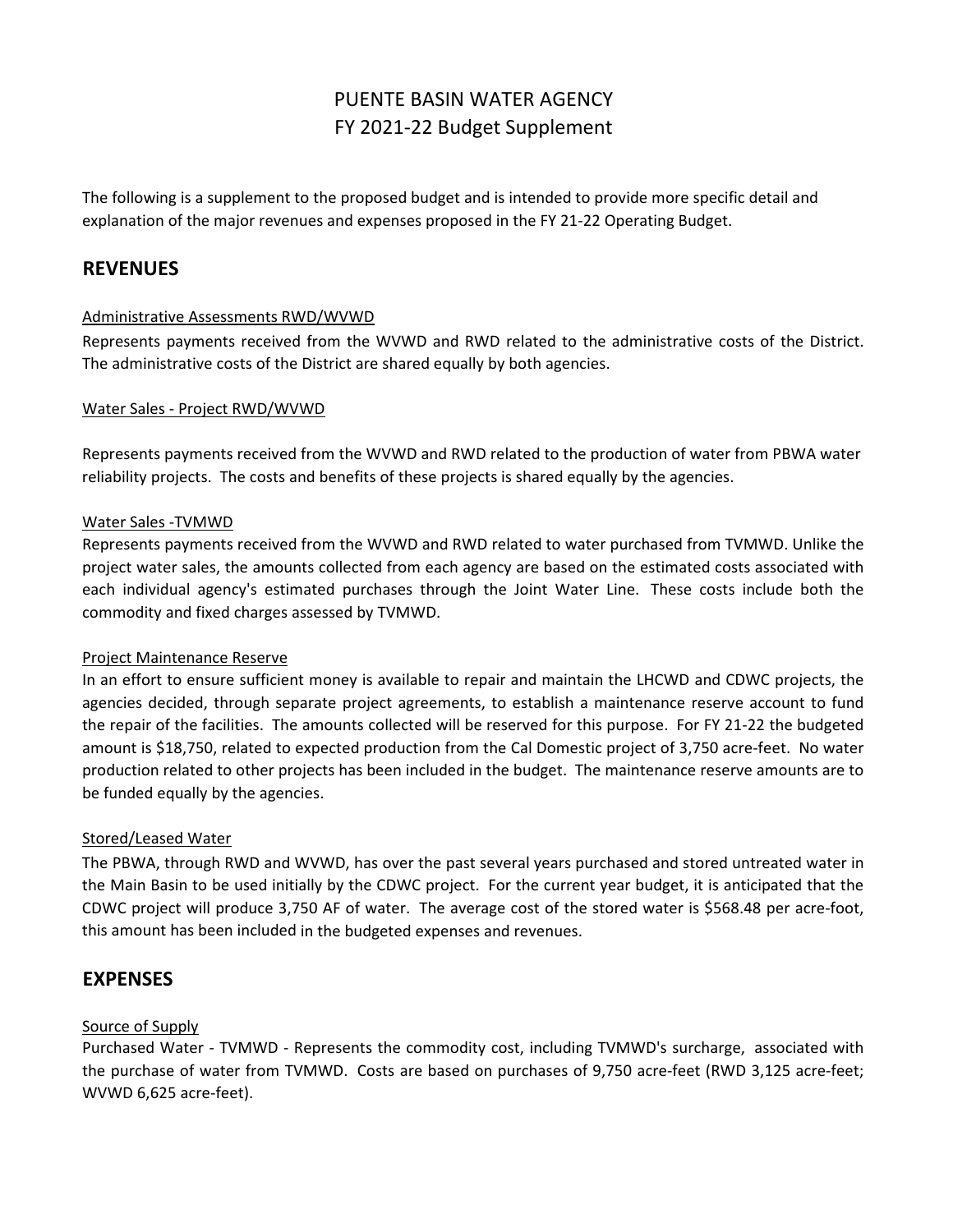# PUENTE BASIN WATER AGENCY FY 2021‐22 Budget Supplement

The following is a supplement to the proposed budget and is intended to provide more specific detail and explanation of the major revenues and expenses proposed in the FY 21‐22 Operating Budget.

# **REVENUES**

## Administrative Assessments RWD/WVWD

Represents payments received from the WVWD and RWD related to the administrative costs of the District. The administrative costs of the District are shared equally by both agencies.

## Water Sales ‐ Project RWD/WVWD

Represents payments received from the WVWD and RWD related to the production of water from PBWA water reliability projects. The costs and benefits of these projects is shared equally by the agencies.

## Water Sales ‐TVMWD

Represents payments received from the WVWD and RWD related to water purchased from TVMWD. Unlike the project water sales, the amounts collected from each agency are based on the estimated costs associated with each individual agency's estimated purchases through the Joint Water Line. These costs include both the commodity and fixed charges assessed by TVMWD.

### Project Maintenance Reserve

In an effort to ensure sufficient money is available to repair and maintain the LHCWD and CDWC projects, the agencies decided, through separate project agreements, to establish a maintenance reserve account to fund the repair of the facilities. The amounts collected will be reserved for this purpose. For FY 21‐22 the budgeted amount is \$18,750, related to expected production from the Cal Domestic project of 3,750 acre‐feet. No water production related to other projects has been included in the budget. The maintenance reserve amounts are to be funded equally by the agencies.

# Stored/Leased Water

The PBWA, through RWD and WVWD, has over the past several years purchased and stored untreated water in the Main Basin to be used initially by the CDWC project. For the current year budget, it is anticipated that the CDWC project will produce 3,750 AF of water. The average cost of the stored water is \$568.48 per acre‐foot, this amount has been included in the budgeted expenses and revenues.

# **EXPENSES**

# Source of Supply

Purchased Water ‐ TVMWD ‐ Represents the commodity cost, including TVMWD's surcharge, associated with the purchase of water from TVMWD. Costs are based on purchases of 9,750 acre‐feet (RWD 3,125 acre‐feet; WVWD 6,625 acre-feet).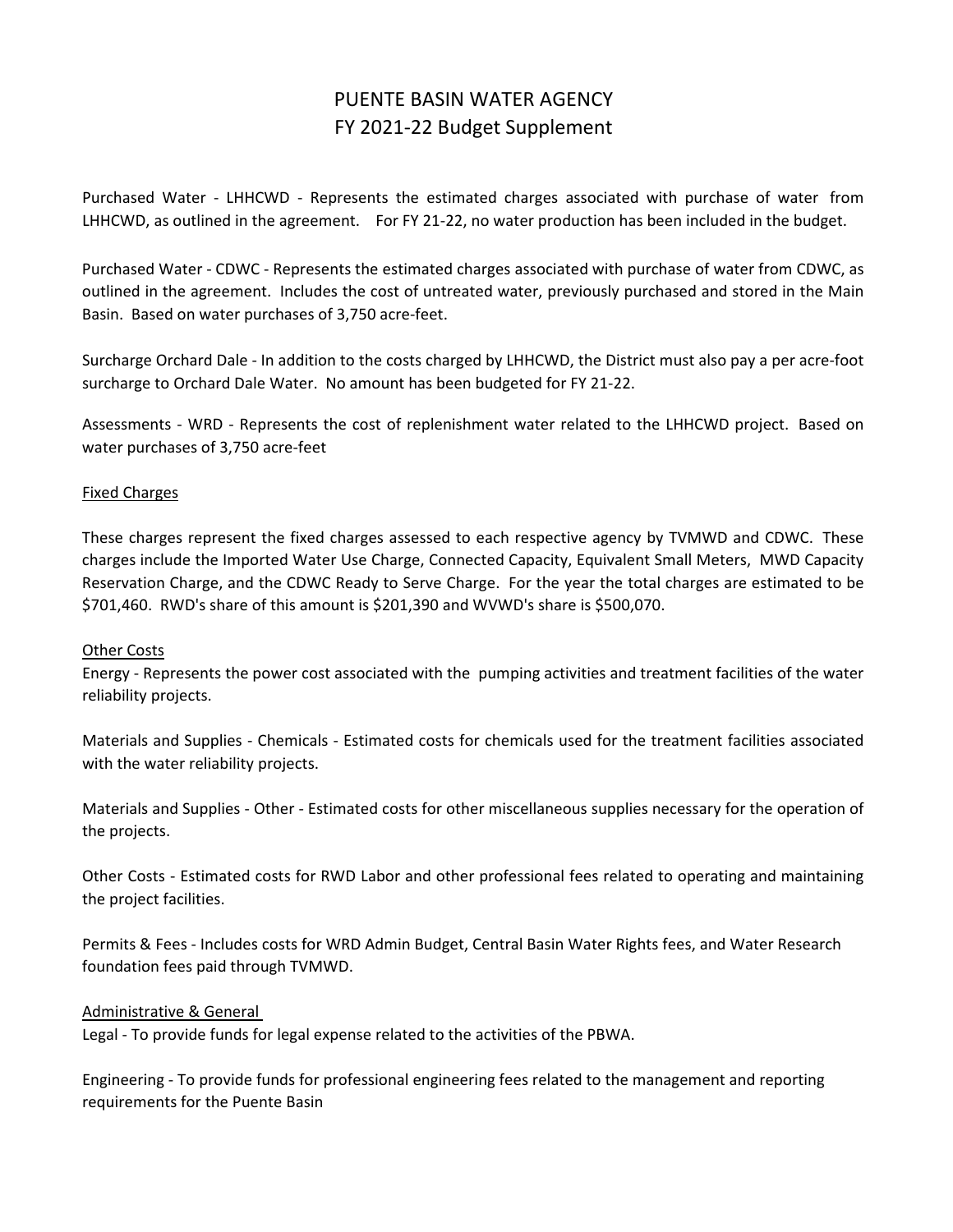# PUENTE BASIN WATER AGENCY FY 2021‐22 Budget Supplement

Purchased Water ‐ LHHCWD ‐ Represents the estimated charges associated with purchase of water from LHHCWD, as outlined in the agreement. For FY 21-22, no water production has been included in the budget.

Purchased Water ‐ CDWC ‐ Represents the estimated charges associated with purchase of water from CDWC, as outlined in the agreement. Includes the cost of untreated water, previously purchased and stored in the Main Basin. Based on water purchases of 3,750 acre‐feet.

Surcharge Orchard Dale ‐ In addition to the costs charged by LHHCWD, the District must also pay a per acre‐foot surcharge to Orchard Dale Water. No amount has been budgeted for FY 21‐22.

Assessments ‐ WRD ‐ Represents the cost of replenishment water related to the LHHCWD project. Based on water purchases of 3,750 acre‐feet

### Fixed Charges

These charges represent the fixed charges assessed to each respective agency by TVMWD and CDWC. These charges include the Imported Water Use Charge, Connected Capacity, Equivalent Small Meters, MWD Capacity Reservation Charge, and the CDWC Ready to Serve Charge. For the year the total charges are estimated to be \$701,460. RWD's share of this amount is \$201,390 and WVWD's share is \$500,070.

#### Other Costs

Energy ‐ Represents the power cost associated with the pumping activities and treatment facilities of the water reliability projects.

Materials and Supplies ‐ Chemicals ‐ Estimated costs for chemicals used for the treatment facilities associated with the water reliability projects.

Materials and Supplies ‐ Other ‐ Estimated costs for other miscellaneous supplies necessary for the operation of the projects.

Other Costs ‐ Estimated costs for RWD Labor and other professional fees related to operating and maintaining the project facilities.

Permits & Fees ‐ Includes costs for WRD Admin Budget, Central Basin Water Rights fees, and Water Research foundation fees paid through TVMWD.

### Administrative & General

Legal ‐ To provide funds for legal expense related to the activities of the PBWA.

Engineering ‐ To provide funds for professional engineering fees related to the management and reporting requirements for the Puente Basin